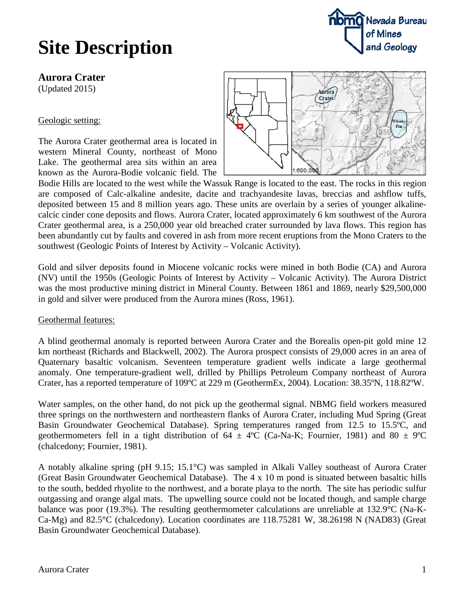## **Site Description**



**Aurora Crater**

(Updated 2015)

### Geologic setting:

The Aurora Crater geothermal area is located in western Mineral County, northeast of Mono Lake. The geothermal area sits within an area known as the Aurora-Bodie volcanic field. The



Bodie Hills are located to the west while the Wassuk Range is located to the east. The rocks in this region are composed of Calc-alkaline andesite, dacite and trachyandesite lavas, breccias and ashflow tuffs, deposited between 15 and 8 million years ago. These units are overlain by a series of younger alkalinecalcic cinder cone deposits and flows. Aurora Crater, located approximately 6 km southwest of the Aurora Crater geothermal area, is a 250,000 year old breached crater surrounded by lava flows. This region has been abundantly cut by faults and covered in ash from more recent eruptions from the Mono Craters to the southwest (Geologic Points of Interest by Activity – Volcanic Activity).

Gold and silver deposits found in Miocene volcanic rocks were mined in both Bodie (CA) and Aurora (NV) until the 1950s (Geologic Points of Interest by Activity – Volcanic Activity). The Aurora District was the most productive mining district in Mineral County. Between 1861 and 1869, nearly \$29,500,000 in gold and silver were produced from the Aurora mines (Ross, 1961).

#### Geothermal features:

A blind geothermal anomaly is reported between Aurora Crater and the Borealis open-pit gold mine 12 km northeast (Richards and Blackwell, 2002). The Aurora prospect consists of 29,000 acres in an area of Quaternary basaltic volcanism. Seventeen temperature gradient wells indicate a large geothermal anomaly. One temperature-gradient well, drilled by Phillips Petroleum Company northeast of Aurora Crater, has a reported temperature of 109ºC at 229 m (GeothermEx, 2004). Location: 38.35ºN, 118.82ºW.

Water samples, on the other hand, do not pick up the geothermal signal. NBMG field workers measured three springs on the northwestern and northeastern flanks of Aurora Crater, including Mud Spring (Great Basin Groundwater Geochemical Database). Spring temperatures ranged from 12.5 to 15.5ºC, and geothermometers fell in a tight distribution of  $64 \pm 4$ °C (Ca-Na-K; Fournier, 1981) and  $80 \pm 9$ °C (chalcedony; Fournier, 1981).

A notably alkaline spring (pH 9.15; 15.1°C) was sampled in Alkali Valley southeast of Aurora Crater (Great Basin Groundwater Geochemical Database). The 4 x 10 m pond is situated between basaltic hills to the south, bedded rhyolite to the northwest, and a borate playa to the north. The site has periodic sulfur outgassing and orange algal mats. The upwelling source could not be located though, and sample charge balance was poor (19.3%). The resulting geothermometer calculations are unreliable at 132.9°C (Na-K-Ca-Mg) and 82.5°C (chalcedony). Location coordinates are 118.75281 W, 38.26198 N (NAD83) (Great Basin Groundwater Geochemical Database).